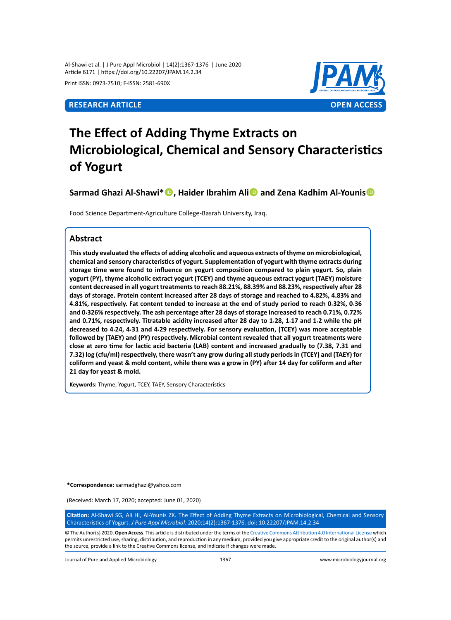Al-Shawi et al. | J Pure Appl Microbiol | 14(2):1367-1376 | June 2020 Article 6171 | https://doi.org/10.22207/JPAM.14.2.34

Print ISSN: 0973-7510; E-ISSN: 2581-690X



# **The Effect of Adding Thyme Extracts on Microbiological, Chemical and Sensory Characteristics of Yogurt**

**Sarmad Ghazi Al-Shawi\*, Haider Ibrahim Ali and Zena Kadhim Al-Younis**

Food Science Department-Agriculture College-Basrah University, Iraq.

# **Abstract**

**This study evaluated the effects of adding alcoholic and aqueous extracts of thyme on microbiological, chemical and sensory characteristics of yogurt. Supplementation of yogurt with thyme extracts during storage time were found to influence on yogurt composition compared to plain yogurt. So, plain yogurt (PY), thyme alcoholic extract yogurt (TCEY) and thyme aqueous extract yogurt (TAEY) moisture content decreased in all yogurt treatments to reach 88.21%, 88.39% and 88.23%, respectively after 28 days of storage. Protein content increased after 28 days of storage and reached to 4.82%, 4.83% and 4.81%, respectively. Fat content tended to increase at the end of study period to reach 0.32%, 0.36 and 0.326% respectively. The ash percentage after 28 days of storage increased to reach 0.71%, 0.72% and 0.71%, respectively. Titratable acidity increased after 28 day to 1.28, 1.17 and 1.2 while the pH decreased to 4.24, 4.31 and 4.29 respectively. For sensory evaluation, (TCEY) was more acceptable followed by (TAEY) and (PY) respectively. Microbial content revealed that all yogurt treatments were close at zero time for lactic acid bacteria (LAB) content and increased gradually to (7.38, 7.31 and 7.32) log (cfu/ml) respectively, there wasn't any grow during all study periods in (TCEY) and (TAEY) for coliform and yeast & mold content, while there was a grow in (PY) after 14 day for coliform and after 21 day for yeast & mold.**

**Keywords:** Thyme, Yogurt, TCEY, TAEY, Sensory Characteristics

**\*Correspondence:** sarmadghazi@yahoo.com

(Received: March 17, 2020; accepted: June 01, 2020)

**Citation:** Al-Shawi SG, Ali HI, Al-Younis ZK. The Effect of Adding Thyme Extracts on Microbiological, Chemical and Sensory Characteristics of Yogurt. *J Pure Appl Microbiol.* 2020;14(2):1367-1376. doi: 10.22207/JPAM.14.2.34

© The Author(s) 2020. **Open Access**. This article is distributed under the terms of the [Creative Commons Attribution 4.0 International License](https://creativecommons.org/licenses/by/4.0/) which permits unrestricted use, sharing, distribution, and reproduction in any medium, provided you give appropriate credit to the original author(s) and the source, provide a link to the Creative Commons license, and indicate if changes were made.

Journal of Pure and Applied Microbiology 1367 www.microbiologyjournal.org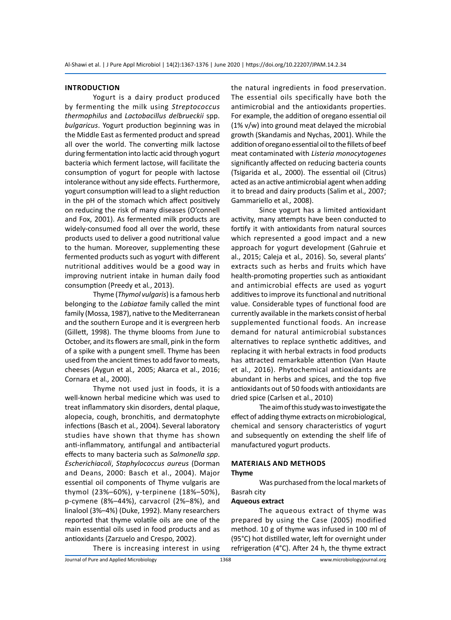#### **Introduction**

Yogurt is a dairy product produced by fermenting the milk using *Streptococcus thermophilus* and *Lactobacillus delbrueckii* spp. *bulgaricus*. Yogurt production beginning was in the Middle East as fermented product and spread all over the world. The converting milk lactose during fermentation into lactic acid through yogurt bacteria which ferment lactose, will facilitate the consumption of yogurt for people with lactose intolerance without any side effects. Furthermore, yogurt consumption will lead to a slight reduction in the pH of the stomach which affect positively on reducing the risk of many diseases (O'connell and Fox, 2001). As fermented milk products are widely-consumed food all over the world, these products used to deliver a good nutritional value to the human. Moreover, supplementing these fermented products such as yogurt with different nutritional additives would be a good way in improving nutrient intake in human daily food consumption (Preedy et al*.*, 2013).

Thyme (*Thymol vulgaris*) is a famous herb belonging to the *Labiatae* family called the mint family (Mossa, 1987), native to the Mediterranean and the southern Europe and it is evergreen herb (Gillett, 1998). The thyme blooms from June to October, and its flowers are small, pink in the form of a spike with a pungent smell. Thyme has been used from the ancient times to add favor to meats, cheeses (Aygun et al*.,* 2005; Akarca et al., 2016; Cornara et al*.,* 2000).

Thyme not used just in foods, it is a well-known herbal medicine which was used to treat inflammatory skin disorders, dental plaque, alopecia, cough, bronchitis, and dermatophyte infections (Basch et al*.*, 2004). Several laboratory studies have shown that thyme has shown anti-inflammatory, antifungal and antibacterial effects to many bacteria such as *Salmonella spp*. *Escherichiacoli*, *Staphylococcus aureus* (Dorman and Deans, 2000: Basch et al., 2004). Major essential oil components of Thyme vulgaris are thymol (23%–60%), γ-terpinene (18%–50%), p-cymene (8%–44%), carvacrol (2%–8%), and linalool (3%–4%) (Duke, 1992). Many researchers reported that thyme volatile oils are one of the main essential oils used in food products and as antioxidants (Zarzuelo and Crespo, 2002).

the natural ingredients in food preservation. The essential oils specifically have both the antimicrobial and the antioxidants properties. For example, the addition of oregano essential oil (1% v/w) into ground meat delayed the microbial growth (Skandamis and Nychas, 2001). While the addition of oregano essential oil to the fillets of beef meat contaminated with *Listeria monocytogenes*  significantly affected on reducing bacteria counts (Tsigarida et al*.,* 2000). The essential oil (Citrus) acted as an active antimicrobial agent when adding it to bread and dairy products (Salim et al*.,* 2007; Gammariello et al*.,* 2008).

Since yogurt has a limited antioxidant activity, many attempts have been conducted to fortify it with antioxidants from natural sources which represented a good impact and a new approach for yogurt development (Gahruie et al., 2015; Caleja et al*.,* 2016). So, several plants' extracts such as herbs and fruits which have health-promoting properties such as antioxidant and antimicrobial effects are used as yogurt additives to improve its functional and nutritional value. Considerable types of functional food are currently available in the markets consist of herbal supplemented functional foods. An increase demand for natural antimicrobial substances alternatives to replace synthetic additives, and replacing it with herbal extracts in food products has attracted remarkable attention (Van Haute et al*.,* 2016). Phytochemical antioxidants are abundant in herbs and spices, and the top five antioxidants out of 50 foods with antioxidants are dried spice (Carlsen et al., 2010)

The aim of this study was to investigate the effect of adding thyme extracts on microbiological, chemical and sensory characteristics of yogurt and subsequently on extending the shelf life of manufactured yogurt products.

# **Materials and methods Thyme**

Was purchased from the local markets of Basrah city

#### **Aqueous extract**

The aqueous extract of thyme was prepared by using the Case (2005) modified method. 10 g of thyme was infused in 100 ml of (95°C) hot distilled water, left for overnight under refrigeration (4°C). After 24 h, the thyme extract

There is increasing interest in using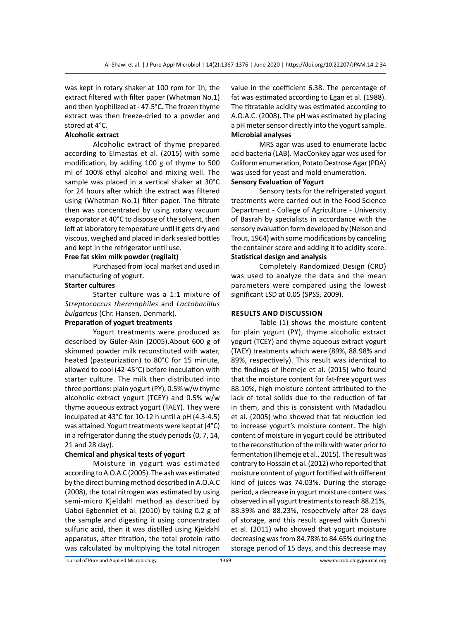was kept in rotary shaker at 100 rpm for 1h, the extract filtered with filter paper (Whatman No.1) and then lyophilized at - 47.5°C. The frozen thyme extract was then freeze-dried to a powder and stored at 4°C.

# **Alcoholic extract**

Alcoholic extract of thyme prepared according to Elmastas et al. (2015) with some modification, by adding 100 g of thyme to 500 ml of 100% ethyl alcohol and mixing well. The sample was placed in a vertical shaker at 30°C for 24 hours after which the extract was filtered using (Whatman No.1) filter paper. The filtrate then was concentrated by using rotary vacuum evaporator at 40°C to dispose of the solvent, then left at laboratory temperature until it gets dry and viscous, weighed and placed in dark sealed bottles and kept in the refrigerator until use.

# **Free fat skim milk powder (regilait)**

Purchased from local market and used in manufacturing of yogurt.

# **Starter cultures**

Starter culture was a 1:1 mixture of *Streptococcus thermophiles* and *Lactobacillus bulgaricus* (Chr. Hansen, Denmark).

# **Preparation of yogurt treatments**

Yogurt treatments were produced as described by Güler‐Akin (2005).About 600 g of skimmed powder milk reconstituted with water, heated (pasteurization) to 80°C for 15 minute, allowed to cool (42-45°C) before inoculation with starter culture. The milk then distributed into three portions: plain yogurt (PY), 0.5% w/w thyme alcoholic extract yogurt (TCEY) and 0.5% w/w thyme aqueous extract yogurt (TAEY). They were inculpated at 43°C for 10-12 h until a pH (4.3-4.5) was attained. Yogurt treatments were kept at (4°C) in a refrigerator during the study periods (0, 7, 14, 21 and 28 day).

# **Chemical and physical tests of yogurt**

Moisture in yogurt was estimated according to A.O.A.C (2005). The ash was estimated by the direct burning method described in A.O.A.C (2008), the total nitrogen was estimated by using [semi-micro Kjeldahl method](https://www.ncbi.nlm.nih.gov/pubmed/13192443) as described by Uaboi-Egbenniet et al. (2010) by taking 0.2 g of the sample and digesting it using concentrated sulfuric acid, then it was distilled using Kjeldahl apparatus, after titration, the total protein ratio was calculated by multiplying the total nitrogen value in the coefficient 6.38. The percentage of fat was estimated according to Egan et al. (1988). The titratable acidity was estimated according to A.O.A.C. (2008). The pH was estimated by placing a pH meter sensor directly into the yogurt sample. **Microbial analyses**

MRS agar was used to enumerate lactic acid bacteria (LAB). MacConkey agar was used for Coliform enumeration, Potato Dextrose Agar (PDA) was used for yeast and mold enumeration.

# **Sensory Evaluation of Yogurt**

Sensory tests for the refrigerated yogurt treatments were carried out in the Food Science Department - College of Agriculture - University of Basrah by specialists in accordance with the sensory evaluation form developed by (Nelson and Trout, 1964) with some modifications by canceling the container score and adding it to acidity score. **Statistical design and analysis**

Completely Randomized Design (CRD) was used to analyze the data and the mean parameters were compared using the lowest significant LSD at 0.05 (SPSS, 2009).

# **Results and discussion**

Table (1) shows the moisture content for plain yogurt (PY), thyme alcoholic extract yogurt (TCEY) and thyme aqueous extract yogurt (TAEY) treatments which were (89%, 88.98% and 89%, respectively). This result was identical to the findings of Ihemeje et al. (2015) who found that the moisture content for fat-free yogurt was 88.10%, high moisture content attributed to the lack of total solids due to the reduction of fat in them, and this is consistent with Madadlou et al. (2005) who showed that fat reduction led to increase yogurt's moisture content. The high content of moisture in yogurt could be attributed to the reconstitution of the milk with water prior to fermentation (Ihemeje et al., 2015). The result was contrary to Hossain et al. (2012) who reported that moisture content of yogurt fortified with different kind of juices was 74.03%. During the storage period, a decrease in yogurt moisture content was observed in all yogurt treatments to reach 88.21%, 88.39% and 88.23%, respectively after 28 days of storage, and this result agreed with Qureshi et al. (2011) who showed that yogurt moisture decreasing was from 84.78% to 84.65% during the storage period of 15 days, and this decrease may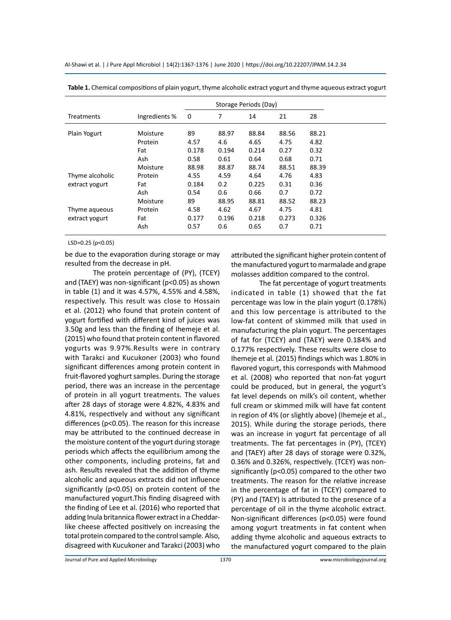Al-Shawi et al. | J Pure Appl Microbiol | 14(2):1367-1376 | June 2020 | https://doi.org/10.22207/JPAM.14.2.34

|                   |               |       |       | Storage Periods (Day) |       |       |
|-------------------|---------------|-------|-------|-----------------------|-------|-------|
| <b>Treatments</b> | Ingredients % | 0     | 7     | 14                    | 21    | 28    |
| Plain Yogurt      | Moisture      | 89    | 88.97 | 88.84                 | 88.56 | 88.21 |
|                   | Protein       | 4.57  | 4.6   | 4.65                  | 4.75  | 4.82  |
|                   | Fat           | 0.178 | 0.194 | 0.214                 | 0.27  | 0.32  |
|                   | Ash           | 0.58  | 0.61  | 0.64                  | 0.68  | 0.71  |
|                   | Moisture      | 88.98 | 88.87 | 88.74                 | 88.51 | 88.39 |
| Thyme alcoholic   | Protein       | 4.55  | 4.59  | 4.64                  | 4.76  | 4.83  |
| extract yogurt    | Fat           | 0.184 | 0.2   | 0.225                 | 0.31  | 0.36  |
|                   | Ash           | 0.54  | 0.6   | 0.66                  | 0.7   | 0.72  |
|                   | Moisture      | 89    | 88.95 | 88.81                 | 88.52 | 88.23 |
| Thyme aqueous     | Protein       | 4.58  | 4.62  | 4.67                  | 4.75  | 4.81  |
| extract yogurt    | Fat           | 0.177 | 0.196 | 0.218                 | 0.273 | 0.326 |
|                   | Ash           | 0.57  | 0.6   | 0.65                  | 0.7   | 0.71  |

**Table 1.** Chemical compositions of plain yogurt, thyme alcoholic extract yogurt and thyme aqueous extract yogurt

LSD=0.25 (p<0.05)

be due to the evaporation during storage or may resulted from the decrease in pH.

The protein percentage of (PY), (TCEY) and (TAEY) was non-significant (p<0.05) as shown in table (1) and it was 4.57%, 4.55% and 4.58%, respectively. This result was close to Hossain et al. (2012) who found that protein content of yogurt fortified with different kind of juices was 3.50g and less than the finding of Ihemeje et al. (2015) who found that protein content in flavored yogurts was 9.97%.Results were in contrary with Tarakci and Kucukoner (2003) who found significant differences among protein content in fruit-flavored yoghurt samples. During the storage period, there was an increase in the percentage of protein in all yogurt treatments. The values after 28 days of storage were 4.82%, 4.83% and 4.81%, respectively and without any significant differences (p<0.05). The reason for this increase may be attributed to the continued decrease in the moisture content of the yogurt during storage periods which affects the equilibrium among the other components, including proteins, fat and ash. Results revealed that the addition of thyme alcoholic and aqueous extracts did not influence significantly (p<0.05) on protein content of the manufactured yogurt.This finding disagreed with the finding of Lee et al. (2016) who reported that adding Inula britannica flower extract in a Cheddarlike cheese affected positively on increasing the total protein compared to the control sample. Also, disagreed with Kucukoner and Tarakci (2003) who attributed the significant higher protein content of the manufactured yogurt to marmalade and grape molasses addition compared to the control.

The fat percentage of yogurt treatments indicated in table (1) showed that the fat percentage was low in the plain yogurt (0.178%) and this low percentage is attributed to the low-fat content of skimmed milk that used in manufacturing the plain yogurt. The percentages of fat for (TCEY) and (TAEY) were 0.184% and 0.177% respectively. These results were close to Ihemeje et al*.* (2015) findings which was 1.80% in flavored yogurt, this corresponds with Mahmood et al. (2008) who reported that non-fat yogurt could be produced, but in general, the yogurt's fat level depends on milk's oil content, whether full cream or skimmed milk will have fat content in region of 4% (or slightly above) (Ihemeje et al., 2015). While during the storage periods, there was an increase in yogurt fat percentage of all treatments. The fat percentages in (PY), (TCEY) and (TAEY) after 28 days of storage were 0.32%, 0.36% and 0.326%, respectively. (TCEY) was nonsignificantly (p<0.05) compared to the other two treatments. The reason for the relative increase in the percentage of fat in (TCEY) compared to (PY) and (TAEY) is attributed to the presence of a percentage of oil in the thyme alcoholic extract. Non-significant differences (p<0.05) were found among yogurt treatments in fat content when adding thyme alcoholic and aqueous extracts to the manufactured yogurt compared to the plain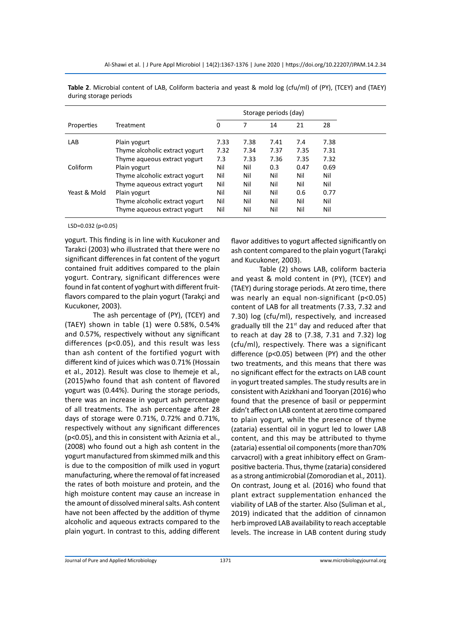|              |                                |      |      | Storage periods (day) |      |      |
|--------------|--------------------------------|------|------|-----------------------|------|------|
| Properties   | Treatment                      | 0    |      | 14                    | 21   | 28   |
| LAB          | Plain yogurt                   | 7.33 | 7.38 | 7.41                  | 7.4  | 7.38 |
|              | Thyme alcoholic extract yogurt | 7.32 | 7.34 | 7.37                  | 7.35 | 7.31 |
|              | Thyme aqueous extract yogurt   | 7.3  | 7.33 | 7.36                  | 7.35 | 7.32 |
| Coliform     | Plain yogurt                   | Nil  | Nil  | 0.3                   | 0.47 | 0.69 |
|              | Thyme alcoholic extract yogurt | Nil  | Nil  | Nil                   | Nil  | Nil  |
|              | Thyme aqueous extract yogurt   | Nil  | Nil  | Nil                   | Nil  | Nil  |
| Yeast & Mold | Plain yogurt                   | Nil  | Nil  | Nil                   | 0.6  | 0.77 |
|              | Thyme alcoholic extract yogurt | Nil  | Nil  | Nil                   | Nil  | Nil  |
|              | Thyme aqueous extract yogurt   | Nil  | Nil  | Nil                   | Nil  | Nil  |

**Table 2**. Microbial content of LAB, Coliform bacteria and yeast & mold log (cfu/ml) of (PY), (TCEY) and (TAEY) during storage periods

LSD=0.032 (p<0.05)

yogurt. This finding is in line with Kucukoner and Tarakci (2003) who illustrated that there were no significant differences in fat content of the yogurt contained fruit additives compared to the plain yogurt. Contrary, significant differences were found in fat content of yoghurt with different fruitflavors compared to the plain yogurt (Tarakçi and Kucukoner, 2003).

The ash percentage of (PY), (TCEY) and (TAEY) shown in table (1) were 0.58%, 0.54% and 0.57%, respectively without any significant differences (p<0.05), and this result was less than ash content of the fortified yogurt with different kind of juices which was 0.71% (Hossain et al., 2012). Result was close to Ihemeje et al*.,* (2015)who found that ash content of flavored yogurt was (0.44%). During the storage periods, there was an increase in yogurt ash percentage of all treatments. The ash percentage after 28 days of storage were 0.71%, 0.72% and 0.71%, respectively without any significant differences (p<0.05), and this in consistent with Aziznia et al., (2008) who found out a high ash content in the yogurt manufactured from skimmed milk and this is due to the composition of milk used in yogurt manufacturing, where the removal of fat increased the rates of both moisture and protein, and the high moisture content may cause an increase in the amount of dissolved mineral salts. Ash content have not been affected by the addition of thyme alcoholic and aqueous extracts compared to the plain yogurt. In contrast to this, adding different flavor additives to yogurt affected significantly on ash content compared to the plain yogurt (Tarakçi and Kucukoner, 2003).

Table (2) shows LAB, coliform bacteria and yeast & mold content in (PY), (TCEY) and (TAEY) during storage periods. At zero time, there was nearly an equal non-significant (p<0.05) content of LAB for all treatments (7.33, 7.32 and 7.30) log (cfu/ml), respectively, and increased gradually till the  $21<sup>st</sup>$  day and reduced after that to reach at day 28 to (7.38, 7.31 and 7.32) log (cfu/ml), respectively. There was a significant difference (p<0.05) between (PY) and the other two treatments, and this means that there was no significant effect for the extracts on LAB count in yogurt treated samples. The study results are in consistent with Azizkhani and Tooryan (2016) who found that the presence of basil or peppermint didn't affect on LAB content at zero time compared to plain yogurt, while the presence of thyme (zataria) essential oil in yogurt led to lower LAB content, and this may be attributed to thyme (zataria) essential oil components (more than70% carvacrol) with a great inhibitory effect on Grampositive bacteria. Thus, thyme (zataria) considered as a strong antimicrobial (Zomorodian et al*.,* 2011). On contrast, Joung et al*.* (2016) who found that plant extract supplementation enhanced the viability of LAB of the starter. Also (Suliman et al*.,* 2019) indicated that the addition of cinnamon herb improved LAB availability to reach acceptable levels. The increase in LAB content during study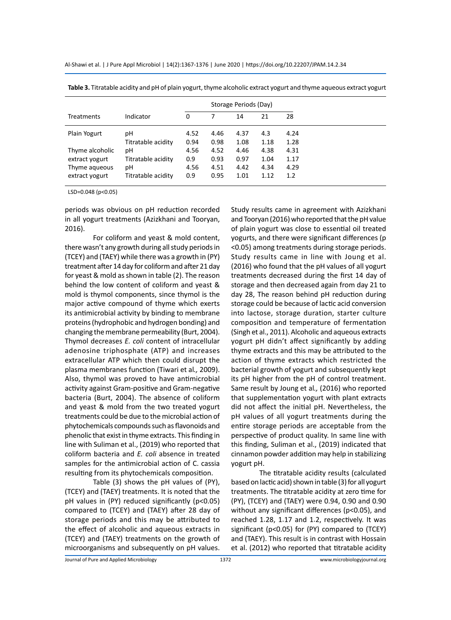Al-Shawi et al. | J Pure Appl Microbiol | 14(2):1367-1376 | June 2020 | https://doi.org/10.22207/JPAM.14.2.34

|                   |                    | Storage Periods (Day) |      |      |      |      |
|-------------------|--------------------|-----------------------|------|------|------|------|
| <b>Treatments</b> | Indicator          | 0                     |      | 14   | 21   | 28   |
| Plain Yogurt      | рH                 | 4.52                  | 4.46 | 4.37 | 4.3  | 4.24 |
|                   | Titratable acidity | 0.94                  | 0.98 | 1.08 | 1.18 | 1.28 |
| Thyme alcoholic   | рH                 | 4.56                  | 4.52 | 4.46 | 4.38 | 4.31 |
| extract yogurt    | Titratable acidity | 0.9                   | 0.93 | 0.97 | 1.04 | 1.17 |
| Thyme agueous     | рH                 | 4.56                  | 4.51 | 4.42 | 4.34 | 4.29 |
| extract yogurt    | Titratable acidity | 0.9                   | 0.95 | 1.01 | 1.12 | 1.2  |

**Table 3.** Titratable acidity and pH of plain yogurt, thyme alcoholic extract yogurt and thyme aqueous extract yogurt

LSD=0.048 (p<0.05)

periods was obvious on pH reduction recorded in all yogurt treatments (Azizkhani and Tooryan, 2016).

For coliform and yeast & mold content, there wasn't any growth during all study periods in (TCEY) and (TAEY) while there was a growth in (PY) treatment after 14 day for coliform and after 21 day for yeast & mold as shown in table (2). The reason behind the low content of coliform and yeast & mold is thymol components, since thymol is the major active compound of thyme which exerts its antimicrobial activity by binding to membrane proteins (hydrophobic and hydrogen bonding) and changing the membrane permeability (Burt, 2004). Thymol decreases *E. coli* content of intracellular adenosine triphosphate (ATP) and increases extracellular ATP which then could disrupt the plasma membranes function (Tiwari et al*.,* 2009). Also, thymol was proved to have antimicrobial activity against Gram-positive and Gram-negative bacteria (Burt, 2004). The absence of coliform and yeast & mold from the two treated yogurt treatments could be due to the microbial action of phytochemicals compounds such as flavonoids and phenolic that exist in thyme extracts. This finding in line with Suliman et al., (2019) who reported that coliform bacteria and *E. coli* absence in treated samples for the antimicrobial action of C. cassia resulting from its phytochemicals composition.

Table (3) shows the pH values of (PY), (TCEY) and (TAEY) treatments. It is noted that the pH values in (PY) reduced significantly (p<0.05) compared to (TCEY) and (TAEY) after 28 day of storage periods and this may be attributed to the effect of alcoholic and aqueous extracts in (TCEY) and (TAEY) treatments on the growth of microorganisms and subsequently on pH values. Study results came in agreement with Azizkhani and Tooryan (2016) who reported that the pH value of plain yogurt was close to essential oil treated yogurts, and there were significant differences (p <0.05) among treatments during storage periods. Study results came in line with Joung et al. (2016) who found that the pH values of all yogurt treatments decreased during the first 14 day of storage and then decreased again from day 21 to day 28, The reason behind pH reduction during storage could be because of lactic acid conversion into lactose, storage duration, starter culture composition and temperature of fermentation (Singh et al., 2011). Alcoholic and aqueous extracts yogurt pH didn't affect significantly by adding thyme extracts and this may be attributed to the action of thyme extracts which restricted the bacterial growth of yogurt and subsequently kept its pH higher from the pH of control treatment. Same result by Joung et al*.,* (2016) who reported that supplementation yogurt with plant extracts did not affect the initial pH. Nevertheless, the pH values of all yogurt treatments during the entire storage periods are acceptable from the perspective of product quality. In same line with this finding, Suliman et al., (2019) indicated that cinnamon powder addition may help in stabilizing yogurt pH.

The titratable acidity results (calculated based on lactic acid) shown in table (3) for all yogurt treatments. The titratable acidity at zero time for (PY), (TCEY) and (TAEY) were 0.94, 0.90 and 0.90 without any significant differences (p<0.05), and reached 1.28, 1.17 and 1.2, respectively. It was significant (p<0.05) for (PY) compared to (TCEY) and (TAEY). This result is in contrast with Hossain et al. (2012) who reported that titratable acidity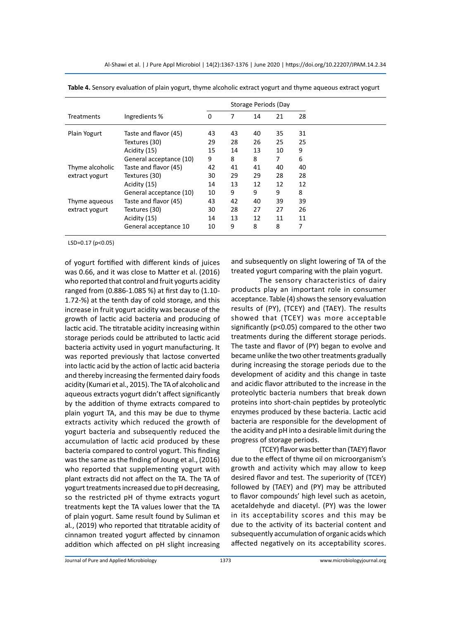|                   |                         | Storage Periods (Day |    |    |    |    |
|-------------------|-------------------------|----------------------|----|----|----|----|
| <b>Treatments</b> | Ingredients %           | 0                    | 7  | 14 | 21 | 28 |
| Plain Yogurt      | Taste and flavor (45)   | 43                   | 43 | 40 | 35 | 31 |
|                   | Textures (30)           | 29                   | 28 | 26 | 25 | 25 |
|                   | Acidity (15)            | 15                   | 14 | 13 | 10 | 9  |
|                   | General acceptance (10) | 9                    | 8  | 8  | 7  | 6  |
| Thyme alcoholic   | Taste and flavor (45)   | 42                   | 41 | 41 | 40 | 40 |
| extract yogurt    | Textures (30)           | 30                   | 29 | 29 | 28 | 28 |
|                   | Acidity (15)            | 14                   | 13 | 12 | 12 | 12 |
|                   | General acceptance (10) | 10                   | 9  | 9  | 9  | 8  |
| Thyme aqueous     | Taste and flavor (45)   | 43                   | 42 | 40 | 39 | 39 |
| extract yogurt    | Textures (30)           | 30                   | 28 | 27 | 27 | 26 |
|                   | Acidity (15)            | 14                   | 13 | 12 | 11 | 11 |
|                   | General acceptance 10   | 10                   | 9  | 8  | 8  | 7  |
|                   |                         |                      |    |    |    |    |

**Table 4.** Sensory evaluation of plain yogurt, thyme alcoholic extract yogurt and thyme aqueous extract yogurt

LSD=0.17 (p<0.05)

of yogurt fortified with different kinds of juices was 0.66, and it was close to Matter et al. (2016) who reported that control and fruit yogurts acidity ranged from (0.886-1.085 %) at first day to (1.10- 1.72-%) at the tenth day of cold storage, and this increase in fruit yogurt acidity was because of the growth of lactic acid bacteria and producing of lactic acid. The titratable acidity increasing within storage periods could be attributed to lactic acid bacteria activity used in yogurt manufacturing. It was reported previously that lactose converted into lactic acid by the action of lactic acid bacteria and thereby increasing the fermented dairy foods acidity (Kumari et al., 2015). The TA of alcoholic and aqueous extracts yogurt didn't affect significantly by the addition of thyme extracts compared to plain yogurt TA, and this may be due to thyme extracts activity which reduced the growth of yogurt bacteria and subsequently reduced the accumulation of lactic acid produced by these bacteria compared to control yogurt. This finding was the same as the finding of Joung et al., (2016) who reported that supplementing yogurt with plant extracts did not affect on the TA. The TA of yogurt treatments increased due to pH decreasing, so the restricted pH of thyme extracts yogurt treatments kept the TA values lower that the TA of plain yogurt. Same result found by Suliman et al*.*, (2019) who reported that titratable acidity of cinnamon treated yogurt affected by cinnamon addition which affected on pH slight increasing and subsequently on slight lowering of TA of the treated yogurt comparing with the plain yogurt.

The sensory characteristics of dairy products play an important role in consumer acceptance. Table (4) shows the sensory evaluation results of (PY), (TCEY) and (TAEY). The results showed that (TCEY) was more acceptable significantly (p<0.05) compared to the other two treatments during the different storage periods. The taste and flavor of (PY) began to evolve and became unlike the two other treatments gradually during increasing the storage periods due to the development of acidity and this change in taste and acidic flavor attributed to the increase in the proteolytic bacteria numbers that break down proteins into short-chain peptides by proteolytic enzymes produced by these bacteria. Lactic acid bacteria are responsible for the development of the acidity and pH into a desirable limit during the progress of storage periods.

(TCEY) flavor was better than (TAEY) flavor due to the effect of thyme oil on microorganism's growth and activity which may allow to keep desired flavor and test. The superiority of (TCEY) followed by (TAEY) and (PY) may be attributed to flavor compounds' high level such as acetoin, acetaldehyde and diacetyl. (PY) was the lower in its acceptability scores and this may be due to the activity of its bacterial content and subsequently accumulation of organic acids which affected negatively on its acceptability scores.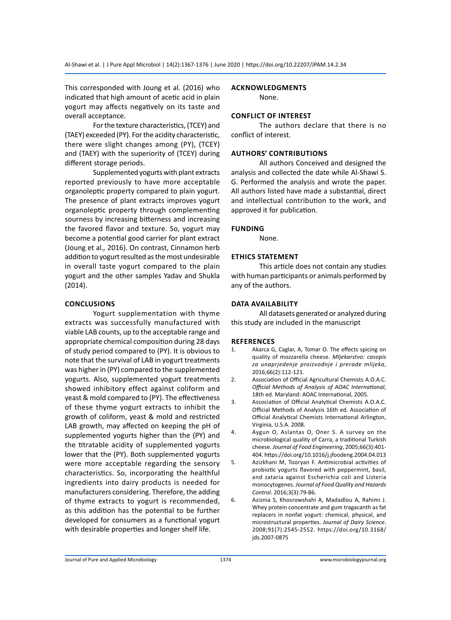This corresponded with Joung et al*.* (2016) who indicated that high amount of acetic acid in plain yogurt may affects negatively on its taste and overall acceptance.

For the texture characteristics, (TCEY) and (TAEY) exceeded (PY). For the acidity characteristic, there were slight changes among (PY), (TCEY) and (TAEY) with the superiority of (TCEY) during different storage periods.

Supplemented yogurts with plant extracts reported previously to have more acceptable organoleptic property compared to plain yogurt. The presence of plant extracts improves yogurt organoleptic property through complementing sourness by increasing bitterness and increasing the favored flavor and texture. So, yogurt may become a potential good carrier for plant extract (Joung et al*.,* 2016). On contrast, Cinnamon herb addition to yogurt resulted as the most undesirable in overall taste yogurt compared to the plain yogurt and the other samples Yadav and Shukla (2014).

# **Conclusions**

Yogurt supplementation with thyme extracts was successfully manufactured with viable LAB counts, up to the acceptable range and appropriate chemical composition during 28 days of study period compared to (PY). It is obvious to note that the survival of LAB in yogurt treatments was higher in (PY) compared to the supplemented yogurts. Also, supplemented yogurt treatments showed inhibitory effect against coliform and yeast & mold compared to (PY). The effectiveness of these thyme yogurt extracts to inhibit the growth of coliform, yeast & mold and restricted LAB growth, may affected on keeping the pH of supplemented yogurts higher than the (PY) and the titratable acidity of supplemented yogurts lower that the (PY). Both supplemented yogurts were more acceptable regarding the sensory characteristics. So, incorporating the healthful ingredients into dairy products is needed for manufacturers considering. Therefore, the adding of thyme extracts to yogurt is recommended, as this addition has the potential to be further developed for consumers as a functional yogurt with desirable properties and longer shelf life.

# **Acknowledgments**

None.

# **Conflict of Interest**

The authors declare that there is no conflict of interest.

#### **Authors' Contributions**

All authors Conceived and designed the analysis and collected the date while Al-Shawi S. G. Performed the analysis and wrote the paper. All authors listed have made a substantial, direct and intellectual contribution to the work, and approved it for publication.

#### **Funding**

None.

# **Ethics Statement**

This article does not contain any studies with human participants or animals performed by any of the authors.

#### **Data Availability**

All datasets generated or analyzed during this study are included in the manuscript

#### **References**

- 1. Akarca G, Caglar, A, Tomar O. The effects spicing on quality of mozzarella cheese. *Mljekarstvo: casopis za unaprjedenje proizvodnje i prerade mlijeka*, 2016;66(2):112-121.
- 2. Association of Official Agricultural Chemists A.O.A.C. *Official Methods of Analysis of AOAC International*, 18th ed. Maryland: AOAC International, 2005.
- 3. Association of Official Analytical Chemists A.O.A.C. Official Methods of Analysis 16th ed. Association of Official Analytical Chemists International Arlington, Virginia, U.S.A. 2008.
- 4. Aygun O, Aslantas O, Oner S. A survey on the microbiological quality of Carra, a traditional Turkish cheese. *Journal of Food Engineering*, 2005;66(3):401- 404. https://doi.org/10.1016/j.jfoodeng.2004.04.013
- 5. Azizkhani M, Tooryan F. Antimicrobial activities of probiotic yogurts flavored with peppermint, basil, and zataria against Escherichia coli and Listeria monocytogenes. *Journal of Food Quality and Hazards Control*. 2016;3(3):79-86.
- 6. Aziznia S, Khosrowshahi A, Madadlou A, Rahimi J. Whey protein concentrate and gum tragacanth as fat replacers in nonfat yogurt: chemical, physical, and microstructural properties. *Journal of Dairy Science*. 2008;91(7):2545-2552. https://doi.org/10.3168/ jds.2007-0875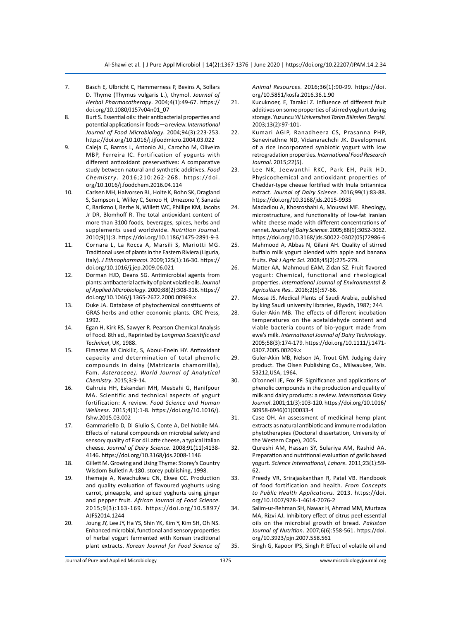- 7. Basch E, Ulbricht C, Hammerness P, Bevins A, Sollars D. Thyme (Thymus vulgaris L.), thymol. *Journal of Herbal Pharmacotherapy*. 2004;4(1):49-67. https:// doi.org/10.1080/J157v04n01\_07
- 8. Burt S. Essential oils: their antibacterial properties and potential applications in foods—a review. *International Journal of Food Microbiology*. 2004;94(3):223-253. https://doi.org/10.1016/j.ijfoodmicro.2004.03.022
- 9. Caleja C, Barros L, Antonio AL, Carocho M, Oliveira MBP, Ferreira IC. Fortification of yogurts with different antioxidant preservatives: A comparative study between natural and synthetic additives. *Food Chemistry*. 2016;210:262-268. https://doi. org/10.1016/j.foodchem.2016.04.114
- 10. Carlsen MH, Halvorsen BL, Holte K, Bohn SK, Dragland S, Sampson L, Willey C, Senoo H, Umezono Y, Sanada C, Barikmo I, Berhe N, Willett WC, Phillips KM, Jacobs Jr DR, Blomhoff R. The total antioxidant content of more than 3100 foods, beverages, spices, herbs and supplements used worldwide. *Nutrition Journal*. 2010;9(1):3. https://doi.org/10.1186/1475-2891-9-3
- 11. Cornara L, La Rocca A, Marsili S, Mariotti MG. Traditional uses of plants in the Eastern Riviera (Liguria, Italy). *J Ethnopharmacol*. 2009;125(1):16-30. https:// doi.org/10.1016/j.jep.2009.06.021
- 12. Dorman HJD, Deans SG. Antimicrobial agents from plants: antibacterial activity of plant volatile oils.*Journal of Applied Microbiology*. 2000;88(2):308-316. https:// doi.org/10.1046/j.1365-2672.2000.00969.x
- 13. Duke JA. Database of phytochemical constituents of GRAS herbs and other economic plants. CRC Press, 1992.
- 14. Egan H, Kirk RS, Sawyer R. Pearson Chemical Analysis of Food. 8th ed., Reprinted by *Longman Scientific and Technical*, UK, 1988.
- 15. Elmastas M Cinkilic, S, Aboul-Enein HY. Antioxidant capacity and determination of total phenolic compounds in daisy (Matricaria chamomilla), Fam. *Asteraceae). World Journal of Analytical Chemistry*. 2015;3:9-14.
- 16. Gahruie HH, Eskandari MH, Mesbahi G, Hanifpour MA. Scientific and technical aspects of yogurt fortification: A review. *Food Science and Human Wellness*. 2015;4(1):1-8. https://doi.org/10.1016/j. fshw.2015.03.002
- 17. Gammariello D, Di Giulio S, Conte A, Del Nobile MA. Effects of natural compounds on microbial safety and sensory quality of Fior di Latte cheese, a typical Italian cheese. *Journal of Dairy Science*. 2008;91(11):4138- 4146. https://doi.org/10.3168/jds.2008-1146
- 18. Gillett M. Growing and Using Thyme: Storey's Country Wisdom Bulletin A-180. storey publishing, 1998.
- 19. Ihemeje A, Nwachukwu CN, Ekwe CC. Production and quality evaluation of flavoured yoghurts using carrot, pineapple, and spiced yoghurts using ginger and pepper fruit. *African Journal of Food Science*. 2015;9(3):163-169. https://doi.org/10.5897/ AJFS2014.1244
- 20. Joung JY, Lee JY, Ha YS, Shin YK, Kim Y, Kim SH, Oh NS. Enhanced microbial, functional and sensory properties of herbal yogurt fermented with Korean traditional plant extracts. *Korean Journal for Food Science of*

*Animal Resources*. 2016;36(1):90-99. https://doi. org/10.5851/kosfa.2016.36.1.90

- 21. Kucuknoer, E, Tarakci Z. Influence of different fruit additives on some properties of stirred yoghurt during storage. Yuzuncu *Yil Universitesi Tarim Bilimleri Dergisi.*  2003;13(2):97-101.
- 22. Kumari AGIP, Ranadheera CS, Prasanna PHP, Senevirathne ND, Vidanarachchi JK. Development of a rice incorporated synbiotic yogurt with low retrogradation properties. *International Food Research Journal*. 2015;22(5).
- 23. Lee NK, Jeewanthi RKC, Park EH, Paik HD. Physicochemical and antioxidant properties of Cheddar-type cheese fortified with Inula britannica extract. *Journal of Dairy Science*. 2016;99(1):83-88. https://doi.org/10.3168/jds.2015-9935
- 24. Madadlou A, Khosroshahi A, Mousavi ME. Rheology, microstructure, and functionality of low-fat Iranian white cheese made with different concentrations of rennet.*Journal of Dairy Science*. 2005;88(9):3052-3062. https://doi.org/10.3168/jds.S0022-0302(05)72986-6
- 25. Mahmood A, Abbas N, Gilani AH. Quality of stirred buffalo milk yogurt blended with apple and banana fruits. *Pak J Agric Sci*. 2008;45(2):275-279.
- 26. Matter AA, Mahmoud EAM, Zidan SZ. Fruit flavored yogurt: Chemical, functional and rheological properties. *International Journal of Environmental & Agriculture Res.*. 2016;2(5):57-66.
- 27. Mossa JS. Medical Plants of Saudi Arabia, published by king Saudi university libraries, Riyadh, 1987; 244.
- 28. Guler-Akin MB. The effects of different incubation temperatures on the acetaldehyde content and viable bacteria counts of bio‐yogurt made from ewe's milk. *International Journal of Dairy Technology*. 2005;58(3):174-179. https://doi.org/10.1111/j.1471- 0307.2005.00209.x
- 29. [Guler-Akin MB,](https://europepmc.org/search?query=AUTH:%22Guler-Akin%20MB%22) Nelson JA, Trout GM. Judging dairy product. The Olsen Publishing Co., Milwaukee, Wis. 53212,USA, 1964.
- 30. O'connell JE, Fox PF. Significance and applications of phenolic compounds in the production and quality of milk and dairy products: a review. *International Dairy Journal*. 2001;11(3):103-120. https://doi.org/10.1016/ S0958-6946(01)00033-4
- 31. Case OH. An assessment of medicinal hemp plant extracts as natural antibiotic and immune modulation phytotherapies (Doctoral dissertation, University of the Western Cape), 2005.
- 32. Qureshi AM, Hassan SY, Sulariya AM, Rashid AA. Preparation and nutritional evaluation of garlic based yogurt. *Science International*, *Lahore.* 2011;23(1):59- 62.
- 33. Preedy VR, Srirajaskanthan R, Patel VB. Handbook of food fortification and health. *From Concepts to Public Health Applications*. 2013. https://doi. org/10.1007/978-1-4614-7076-2
- 34. Salim-ur-Rehman SH, Nawaz H, Ahmad MM, Murtaza MA, Rizvi AJ. Inhibitory effect of citrus peel essential oils on the microbial growth of bread. *Pakistan Journal of Nutrition*. 2007;6(6):558-561. https://doi. org/10.3923/pjn.2007.558.561
- 35. Singh G, Kapoor IPS, Singh P. Effect of volatile oil and